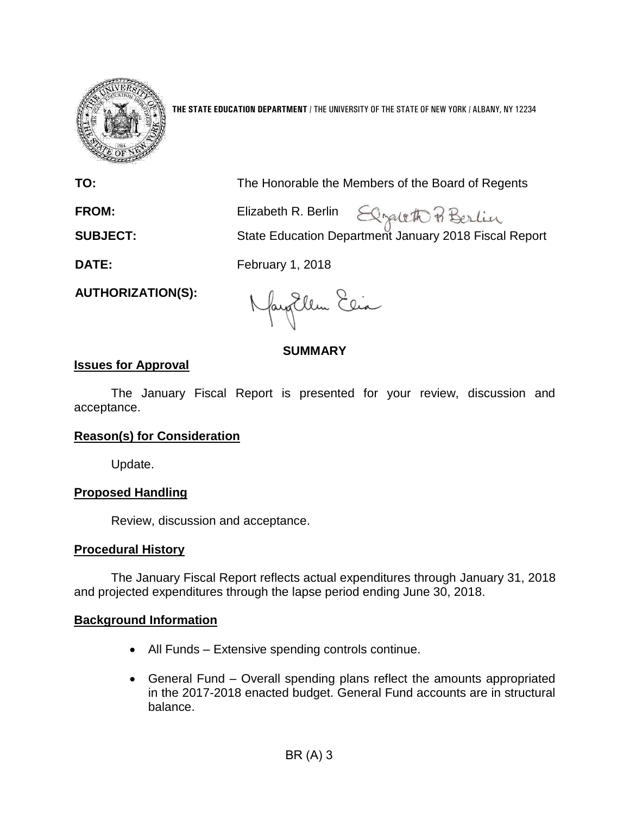

**THE STATE EDUCATION DEPARTMENT** / THE UNIVERSITY OF THE STATE OF NEW YORK / ALBANY, NY 12234

| TO:                      | The Honorable the Members of the Board of Regents                                                |
|--------------------------|--------------------------------------------------------------------------------------------------|
| <b>FROM:</b>             | Elizabeth R. Berlin Elizabeth R. Berlin<br>State Education Department January 2018 Fiscal Report |
| <b>SUBJECT:</b>          |                                                                                                  |
| <b>DATE:</b>             | February 1, 2018                                                                                 |
| <b>AUTHORIZATION(S):</b> | $\Box$ $\Box$ $\Box$                                                                             |

faytlem Clia

# **SUMMARY**

## **Issues for Approval**

The January Fiscal Report is presented for your review, discussion and acceptance.

## **Reason(s) for Consideration**

Update.

### **Proposed Handling**

Review, discussion and acceptance.

### **Procedural History**

The January Fiscal Report reflects actual expenditures through January 31, 2018 and projected expenditures through the lapse period ending June 30, 2018.

## **Background Information**

- All Funds Extensive spending controls continue.
- General Fund Overall spending plans reflect the amounts appropriated in the 2017-2018 enacted budget. General Fund accounts are in structural balance.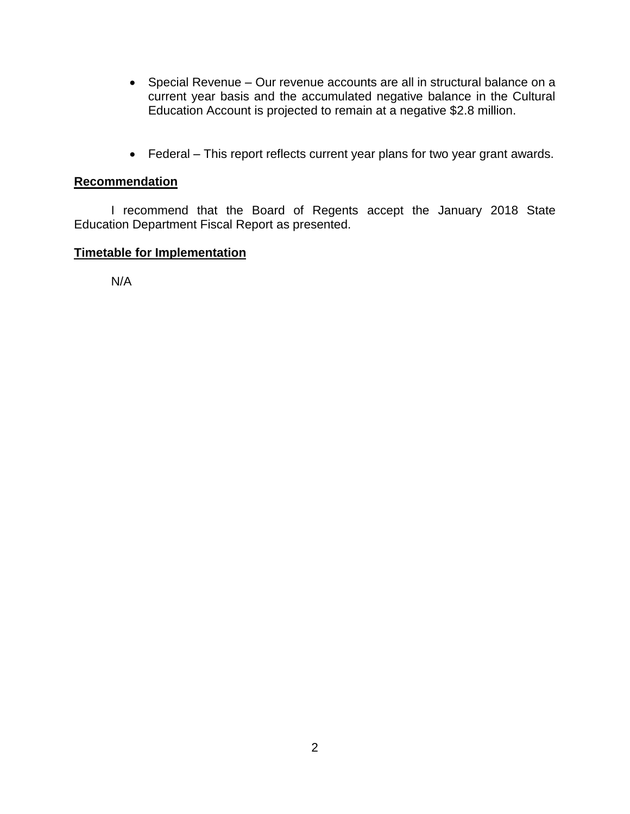- Special Revenue Our revenue accounts are all in structural balance on a current year basis and the accumulated negative balance in the Cultural Education Account is projected to remain at a negative \$2.8 million.
- Federal This report reflects current year plans for two year grant awards.

# **Recommendation**

I recommend that the Board of Regents accept the January 2018 State Education Department Fiscal Report as presented.

# **Timetable for Implementation**

N/A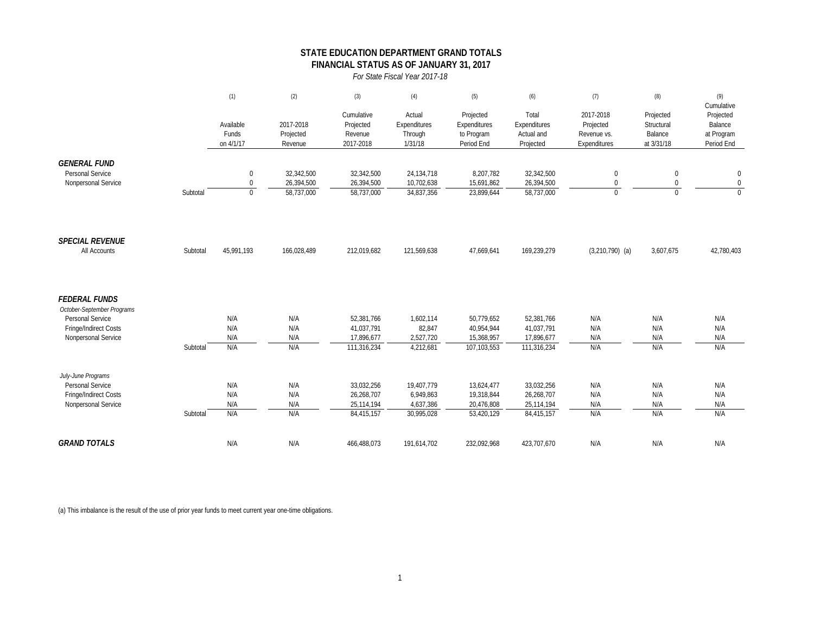### **STATE EDUCATION DEPARTMENT GRAND TOTALS FINANCIAL STATUS AS OF JANUARY 31, 2017**

*For State Fiscal Year 2017-18*

|                                                                                                                               |          | (1)                                      | (2)                                    | (3)                                                   | (4)                                                | (5)                                                   | (6)                                                   | (7)                                                   | (8)                                              | (9)                                                            |
|-------------------------------------------------------------------------------------------------------------------------------|----------|------------------------------------------|----------------------------------------|-------------------------------------------------------|----------------------------------------------------|-------------------------------------------------------|-------------------------------------------------------|-------------------------------------------------------|--------------------------------------------------|----------------------------------------------------------------|
|                                                                                                                               |          | Available<br>Funds<br>on 4/1/17          | 2017-2018<br>Projected<br>Revenue      | Cumulative<br>Projected<br>Revenue<br>2017-2018       | Actual<br>Expenditures<br>Through<br>1/31/18       | Projected<br>Expenditures<br>to Program<br>Period End | Total<br>Expenditures<br>Actual and<br>Projected      | 2017-2018<br>Projected<br>Revenue vs.<br>Expenditures | Projected<br>Structural<br>Balance<br>at 3/31/18 | Cumulative<br>Projected<br>Balance<br>at Program<br>Period End |
| <b>GENERAL FUND</b><br><b>Personal Service</b><br>Nonpersonal Service                                                         | Subtotal | $\pmb{0}$<br>$\mathbf 0$<br>$\mathbf{0}$ | 32,342,500<br>26,394,500<br>58,737,000 | 32,342,500<br>26,394,500<br>58,737,000                | 24, 134, 718<br>10,702,638<br>34,837,356           | 8,207,782<br>15,691,862<br>23.899.644                 | 32,342,500<br>26,394,500<br>58,737,000                | $\mathbf 0$<br>$\mathbf 0$<br>$\Omega$                | $\mathbf 0$<br>$\mathbf 0$<br>$\Omega$           | $\boldsymbol{0}$<br>$\boldsymbol{0}$<br>$\Omega$               |
| <b>SPECIAL REVENUE</b><br>All Accounts                                                                                        | Subtotal | 45,991,193                               | 166,028,489                            | 212,019,682                                           | 121,569,638                                        | 47,669,641                                            | 169,239,279                                           | $(3,210,790)$ (a)                                     | 3,607,675                                        | 42,780,403                                                     |
| <b>FEDERAL FUNDS</b><br>October-September Programs<br><b>Personal Service</b><br>Fringe/Indirect Costs<br>Nonpersonal Service | Subtotal | N/A<br>N/A<br>N/A<br>N/A                 | N/A<br>N/A<br>N/A<br>N/A               | 52,381,766<br>41,037,791<br>17,896,677<br>111,316,234 | 1,602,114<br>82,847<br>2,527,720<br>4,212,681      | 50,779,652<br>40,954,944<br>15,368,957<br>107,103,553 | 52,381,766<br>41,037,791<br>17,896,677<br>111,316,234 | N/A<br>N/A<br>N/A<br>N/A                              | N/A<br>N/A<br>N/A<br>N/A                         | N/A<br>N/A<br>N/A<br>N/A                                       |
| July-June Programs<br>Personal Service<br>Fringe/Indirect Costs<br>Nonpersonal Service                                        | Subtotal | N/A<br>N/A<br>N/A<br>N/A                 | N/A<br>N/A<br>N/A<br>N/A               | 33,032,256<br>26,268,707<br>25.114.194<br>84,415,157  | 19,407,779<br>6,949,863<br>4,637,386<br>30.995.028 | 13,624,477<br>19,318,844<br>20.476.808<br>53.420.129  | 33,032,256<br>26,268,707<br>25,114,194<br>84,415,157  | N/A<br>N/A<br>N/A<br>N/A                              | N/A<br>N/A<br>N/A<br>N/A                         | N/A<br>N/A<br>N/A<br>N/A                                       |
| <b>GRAND TOTALS</b>                                                                                                           |          | N/A                                      | N/A                                    | 466,488,073                                           | 191,614,702                                        | 232,092,968                                           | 423,707,670                                           | N/A                                                   | N/A                                              | N/A                                                            |

(a) This imbalance is the result of the use of prior year funds to meet current year one-time obligations.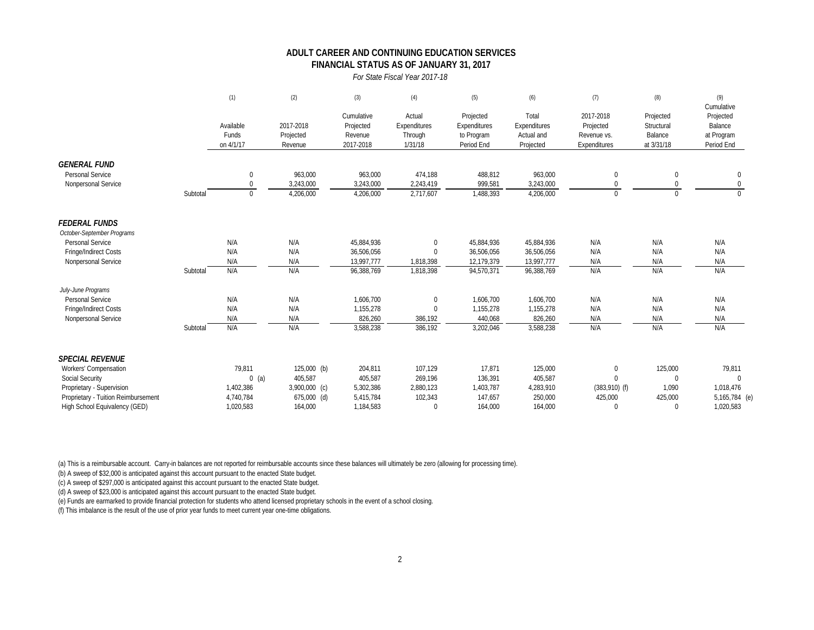### **FINANCIAL STATUS AS OF JANUARY 31, 2017 ADULT CAREER AND CONTINUING EDUCATION SERVICES**

#### *For State Fiscal Year 2017-18*

|                                     |          | (1)                             | (2)                               | (3)                                             | (4)                                          | (5)                                                   | (6)                                              | (7)                                                   | (8)                                              | (9)<br>Cumulative                                |
|-------------------------------------|----------|---------------------------------|-----------------------------------|-------------------------------------------------|----------------------------------------------|-------------------------------------------------------|--------------------------------------------------|-------------------------------------------------------|--------------------------------------------------|--------------------------------------------------|
|                                     |          | Available<br>Funds<br>on 4/1/17 | 2017-2018<br>Projected<br>Revenue | Cumulative<br>Projected<br>Revenue<br>2017-2018 | Actual<br>Expenditures<br>Through<br>1/31/18 | Projected<br>Expenditures<br>to Program<br>Period End | Total<br>Expenditures<br>Actual and<br>Projected | 2017-2018<br>Projected<br>Revenue vs.<br>Expenditures | Projected<br>Structural<br>Balance<br>at 3/31/18 | Projected<br>Balance<br>at Program<br>Period End |
| <b>GENERAL FUND</b>                 |          |                                 |                                   |                                                 |                                              |                                                       |                                                  |                                                       |                                                  |                                                  |
| Personal Service                    |          | $\Omega$                        | 963,000                           | 963,000                                         | 474,188                                      | 488,812                                               | 963,000                                          | $\Omega$                                              | $\Omega$                                         | $\mathbf{0}$                                     |
| Nonpersonal Service                 |          |                                 | 3,243,000                         | 3,243,000                                       | 2,243,419                                    | 999,581                                               | 3,243,000                                        |                                                       |                                                  | 0                                                |
|                                     | Subtotal | $\mathbf{0}$                    | 4,206,000                         | 4,206,000                                       | 2,717,607                                    | 1,488,393                                             | 4,206,000                                        | $\Omega$                                              | $\cap$                                           | $\Omega$                                         |
| <b>FEDERAL FUNDS</b>                |          |                                 |                                   |                                                 |                                              |                                                       |                                                  |                                                       |                                                  |                                                  |
| October-September Programs          |          |                                 |                                   |                                                 |                                              |                                                       |                                                  |                                                       |                                                  |                                                  |
| Personal Service                    |          | N/A                             | N/A                               | 45,884,936                                      | $\mathbf{0}$                                 | 45,884,936                                            | 45,884,936                                       | N/A                                                   | N/A                                              | N/A                                              |
| Fringe/Indirect Costs               |          | N/A                             | N/A                               | 36,506,056                                      | $\mathbf 0$                                  | 36,506,056                                            | 36,506,056                                       | N/A                                                   | N/A                                              | N/A                                              |
| Nonpersonal Service                 |          | N/A                             | N/A                               | 13,997,777                                      | 1,818,398                                    | 12,179,379                                            | 13,997,777                                       | N/A                                                   | N/A                                              | N/A                                              |
|                                     | Subtotal | N/A                             | N/A                               | 96,388,769                                      | 1,818,398                                    | 94,570,371                                            | 96,388,769                                       | N/A                                                   | N/A                                              | N/A                                              |
| July-June Programs                  |          |                                 |                                   |                                                 |                                              |                                                       |                                                  |                                                       |                                                  |                                                  |
| Personal Service                    |          | N/A                             | N/A                               | 1,606,700                                       | $\mathbf 0$                                  | 1,606,700                                             | 1,606,700                                        | N/A                                                   | N/A                                              | N/A                                              |
| Fringe/Indirect Costs               |          | N/A                             | N/A                               | 1,155,278                                       | $\mathbf 0$                                  | 1,155,278                                             | 1,155,278                                        | N/A                                                   | N/A                                              | N/A                                              |
| Nonpersonal Service                 |          | N/A                             | N/A                               | 826,260                                         | 386,192                                      | 440,068                                               | 826,260                                          | N/A                                                   | N/A                                              | N/A                                              |
|                                     | Subtotal | N/A                             | N/A                               | 3,588,238                                       | 386,192                                      | 3,202,046                                             | 3,588,238                                        | N/A                                                   | N/A                                              | N/A                                              |
| <b>SPECIAL REVENUE</b>              |          |                                 |                                   |                                                 |                                              |                                                       |                                                  |                                                       |                                                  |                                                  |
| Workers' Compensation               |          | 79,811                          | 125,000 (b)                       | 204,811                                         | 107,129                                      | 17,871                                                | 125,000                                          | $\mathbf{0}$                                          | 125,000                                          | 79,811                                           |
| Social Security                     |          | $0$ (a)                         | 405,587                           | 405,587                                         | 269,196                                      | 136,391                                               | 405,587                                          | $\Omega$                                              | $\Omega$                                         | $\mathbf{0}$                                     |
| Proprietary - Supervision           |          | 1,402,386                       | 3,900,000 (c)                     | 5,302,386                                       | 2,880,123                                    | 1,403,787                                             | 4,283,910                                        | $(383,910)$ (f)                                       | 1,090                                            | 1,018,476                                        |
| Proprietary - Tuition Reimbursement |          | 4,740,784                       | 675,000 (d)                       | 5,415,784                                       | 102,343                                      | 147,657                                               | 250,000                                          | 425,000                                               | 425,000                                          | 5,165,784 (e)                                    |
| High School Equivalency (GED)       |          | 1,020,583                       | 164,000                           | 1,184,583                                       | $\Omega$                                     | 164.000                                               | 164.000                                          | $\Omega$                                              | $\Omega$                                         | 1,020,583                                        |

(a) This is a reimbursable account. Carry-in balances are not reported for reimbursable accounts since these balances will ultimately be zero (allowing for processing time).

(b) A sweep of \$32,000 is anticipated against this account pursuant to the enacted State budget.

(c) A sweep of \$297,000 is anticipated against this account pursuant to the enacted State budget.

(d) A sweep of \$23,000 is anticipated against this account pursuant to the enacted State budget.

(e) Funds are earmarked to provide financial protection for students who attend licensed proprietary schools in the event of a school closing.

(f) This imbalance is the result of the use of prior year funds to meet current year one-time obligations.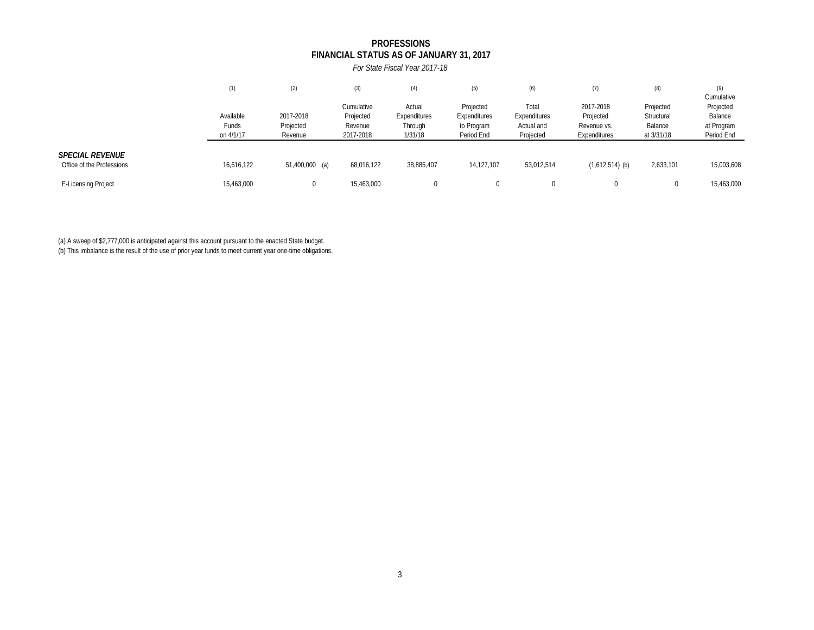### **FINANCIAL STATUS AS OF JANUARY 31, 2017 PROFESSIONS**

*For State Fiscal Year 2017-18*

|                                                     | (1)                             | (2)                               | (3)                                             | (4)                                          | (5)                                                   | (6)                                              | (7)                                                   | (8)                                              | (9)<br>Cumulative                                |
|-----------------------------------------------------|---------------------------------|-----------------------------------|-------------------------------------------------|----------------------------------------------|-------------------------------------------------------|--------------------------------------------------|-------------------------------------------------------|--------------------------------------------------|--------------------------------------------------|
|                                                     | Available<br>Funds<br>on 4/1/17 | 2017-2018<br>Projected<br>Revenue | Cumulative<br>Projected<br>Revenue<br>2017-2018 | Actual<br>Expenditures<br>Through<br>1/31/18 | Projected<br>Expenditures<br>to Program<br>Period End | Total<br>Expenditures<br>Actual and<br>Projected | 2017-2018<br>Projected<br>Revenue vs.<br>Expenditures | Projected<br>Structural<br>Balance<br>at 3/31/18 | Projected<br>Balance<br>at Program<br>Period End |
| <b>SPECIAL REVENUE</b><br>Office of the Professions | 16,616,122                      | 51,400,000 (a)                    | 68,016,122                                      | 38,885,407                                   | 14,127,107                                            | 53,012,514                                       | $(1,612,514)$ (b)                                     | 2,633,101                                        | 15,003,608                                       |
| <b>E-Licensing Project</b>                          | 15,463,000                      |                                   | 15,463,000                                      |                                              |                                                       |                                                  | $\Omega$                                              | $\Omega$                                         | 15,463,000                                       |

(a) A sweep of \$2,777,000 is anticipated against this account pursuant to the enacted State budget.

(b) This imbalance is the result of the use of prior year funds to meet current year one-time obligations.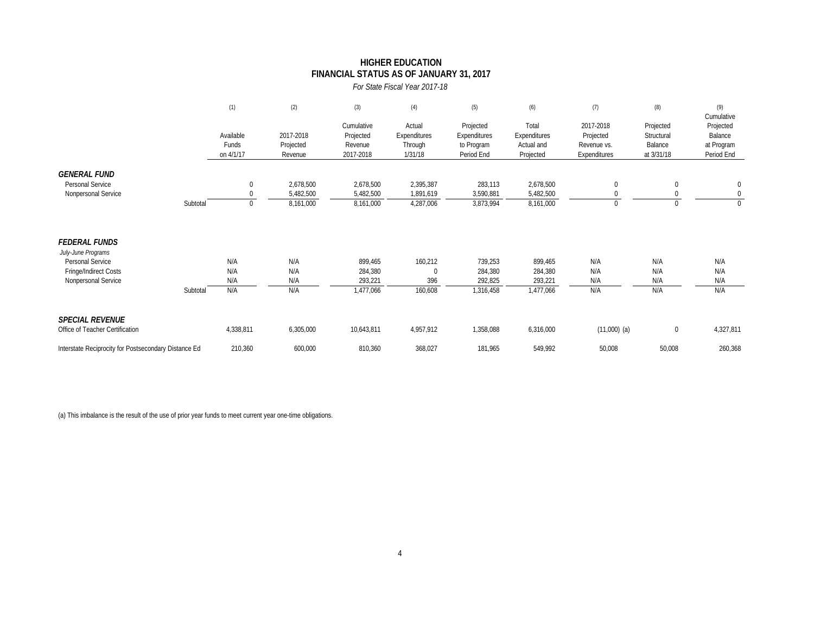### **FINANCIAL STATUS AS OF JANUARY 31, 2017 HIGHER EDUCATION**

*For State Fiscal Year 2017-18*

|                                                      |          | (1)                             | (2)                               | (3)                                             | (4)                                          | (5)                                                   | (6)                                              | (7)                                                   | (8)                                              | (9)<br>Cumulative                                |
|------------------------------------------------------|----------|---------------------------------|-----------------------------------|-------------------------------------------------|----------------------------------------------|-------------------------------------------------------|--------------------------------------------------|-------------------------------------------------------|--------------------------------------------------|--------------------------------------------------|
|                                                      |          | Available<br>Funds<br>on 4/1/17 | 2017-2018<br>Projected<br>Revenue | Cumulative<br>Projected<br>Revenue<br>2017-2018 | Actual<br>Expenditures<br>Through<br>1/31/18 | Projected<br>Expenditures<br>to Program<br>Period End | Total<br>Expenditures<br>Actual and<br>Projected | 2017-2018<br>Projected<br>Revenue vs.<br>Expenditures | Projected<br>Structural<br>Balance<br>at 3/31/18 | Projected<br>Balance<br>at Program<br>Period End |
| <b>GENERAL FUND</b>                                  |          |                                 |                                   |                                                 |                                              |                                                       |                                                  |                                                       |                                                  |                                                  |
| Personal Service<br>Nonpersonal Service              |          | $\mathbf 0$<br>$\Omega$         | 2,678,500<br>5,482,500            | 2,678,500<br>5,482,500                          | 2,395,387<br>1,891,619                       | 283,113<br>3,590,881                                  | 2,678,500<br>5,482,500                           | $\Omega$                                              | $\mathbf{0}$                                     | $\mathbf 0$<br>$\mathbf{0}$                      |
|                                                      | Subtotal | $\mathbf 0$                     | 8,161,000                         | 8,161,000                                       | 4,287,006                                    | 3,873,994                                             | 8,161,000                                        | $\mathbf{0}$                                          | 0                                                | $\Omega$                                         |
| <b>FEDERAL FUNDS</b><br>July-June Programs           |          |                                 |                                   |                                                 |                                              |                                                       |                                                  |                                                       |                                                  |                                                  |
| Personal Service                                     |          | N/A                             | N/A                               | 899,465                                         | 160,212                                      | 739,253                                               | 899,465                                          | N/A                                                   | N/A                                              | N/A                                              |
| Fringe/Indirect Costs<br>Nonpersonal Service         |          | N/A<br>N/A                      | N/A<br>N/A                        | 284,380<br>293,221                              | $\mathbf{0}$<br>396                          | 284,380<br>292,825                                    | 284,380<br>293,221                               | N/A<br>N/A                                            | N/A<br>N/A                                       | N/A<br>N/A                                       |
|                                                      | Subtotal | N/A                             | N/A                               | 1,477,066                                       | 160,608                                      | 1,316,458                                             | 1,477,066                                        | N/A                                                   | N/A                                              | N/A                                              |
| <b>SPECIAL REVENUE</b>                               |          |                                 |                                   |                                                 |                                              |                                                       |                                                  |                                                       |                                                  |                                                  |
| Office of Teacher Certification                      |          | 4,338,811                       | 6,305,000                         | 10,643,811                                      | 4,957,912                                    | 1,358,088                                             | 6,316,000                                        | $(11,000)$ (a)                                        | 0                                                | 4,327,811                                        |
| Interstate Reciprocity for Postsecondary Distance Ed |          | 210,360                         | 600,000                           | 810,360                                         | 368,027                                      | 181,965                                               | 549,992                                          | 50,008                                                | 50,008                                           | 260,368                                          |

(a) This imbalance is the result of the use of prior year funds to meet current year one-time obligations.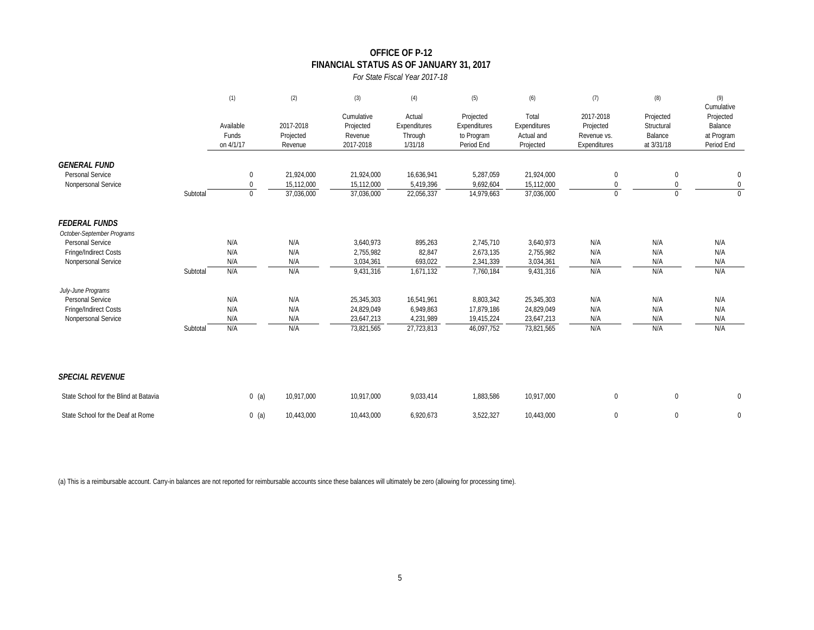### **OFFICE OF P-12 FINANCIAL STATUS AS OF JANUARY 31, 2017**

#### *For State Fiscal Year 2017-18*

|                                                                |          | (1)                                      | (2)                                    | (3)                                             | (4)                                          | (5)                                                   | (6)                                              | (7)                                                   | (8)                                              | (9)<br>Cumulative                                |
|----------------------------------------------------------------|----------|------------------------------------------|----------------------------------------|-------------------------------------------------|----------------------------------------------|-------------------------------------------------------|--------------------------------------------------|-------------------------------------------------------|--------------------------------------------------|--------------------------------------------------|
|                                                                |          | Available<br>Funds<br>on 4/1/17          | 2017-2018<br>Projected<br>Revenue      | Cumulative<br>Projected<br>Revenue<br>2017-2018 | Actual<br>Expenditures<br>Through<br>1/31/18 | Projected<br>Expenditures<br>to Program<br>Period End | Total<br>Expenditures<br>Actual and<br>Projected | 2017-2018<br>Projected<br>Revenue vs.<br>Expenditures | Projected<br>Structural<br>Balance<br>at 3/31/18 | Projected<br>Balance<br>at Program<br>Period End |
| <b>GENERAL FUND</b><br>Personal Service<br>Nonpersonal Service | Subtotal | $\pmb{0}$<br>$\mathbf 0$<br>$\mathbf{0}$ | 21,924,000<br>15,112,000<br>37,036,000 | 21,924,000<br>15,112,000<br>37,036,000          | 16,636,941<br>5,419,396<br>22,056,337        | 5,287,059<br>9,692,604<br>14,979,663                  | 21,924,000<br>15,112,000<br>37,036,000           | 0<br>0<br>$\Omega$                                    | $\mathbf 0$<br>0<br>$\Omega$                     | $\pmb{0}$<br>$\overline{0}$<br>$\mathbf{0}$      |
|                                                                |          |                                          |                                        |                                                 |                                              |                                                       |                                                  |                                                       |                                                  |                                                  |
| <b>FEDERAL FUNDS</b><br>October-September Programs             |          |                                          |                                        |                                                 |                                              |                                                       |                                                  |                                                       |                                                  |                                                  |
| Personal Service                                               |          | N/A                                      | N/A                                    | 3,640,973                                       | 895,263                                      | 2,745,710                                             | 3,640,973                                        | N/A                                                   | N/A                                              | N/A                                              |
| Fringe/Indirect Costs                                          |          | N/A                                      | N/A                                    | 2,755,982                                       | 82,847                                       | 2,673,135                                             | 2,755,982                                        | N/A                                                   | N/A                                              | N/A                                              |
| Nonpersonal Service                                            |          | N/A                                      | N/A                                    | 3,034,361                                       | 693,022                                      | 2,341,339                                             | 3,034,361                                        | N/A                                                   | N/A                                              | N/A                                              |
|                                                                | Subtotal | N/A                                      | N/A                                    | 9,431,316                                       | 1,671,132                                    | 7,760,184                                             | 9,431,316                                        | N/A                                                   | N/A                                              | N/A                                              |
| July-June Programs                                             |          |                                          |                                        |                                                 |                                              |                                                       |                                                  |                                                       |                                                  |                                                  |
| Personal Service                                               |          | N/A                                      | N/A                                    | 25,345,303                                      | 16,541,961                                   | 8,803,342                                             | 25,345,303                                       | N/A                                                   | N/A                                              | N/A                                              |
| Fringe/Indirect Costs                                          |          | N/A                                      | N/A                                    | 24,829,049                                      | 6,949,863                                    | 17,879,186                                            | 24,829,049                                       | N/A                                                   | N/A                                              | N/A                                              |
| Nonpersonal Service                                            | Subtotal | N/A<br>N/A                               | N/A<br>N/A                             | 23,647,213<br>73,821,565                        | 4,231,989<br>27,723,813                      | 19,415,224<br>46,097,752                              | 23,647,213<br>73,821,565                         | N/A<br>N/A                                            | N/A<br>N/A                                       | N/A<br>N/A                                       |
|                                                                |          |                                          |                                        |                                                 |                                              |                                                       |                                                  |                                                       |                                                  |                                                  |
| <b>SPECIAL REVENUE</b>                                         |          |                                          |                                        |                                                 |                                              |                                                       |                                                  |                                                       |                                                  |                                                  |
| State School for the Blind at Batavia                          |          | $0$ (a)                                  | 10,917,000                             | 10,917,000                                      | 9,033,414                                    | 1,883,586                                             | 10,917,000                                       | $\mathbf{0}$                                          | $\mathbf 0$                                      | $\mathbf 0$                                      |
| State School for the Deaf at Rome                              |          | $0$ (a)                                  | 10.443.000                             | 10.443.000                                      | 6,920,673                                    | 3,522,327                                             | 10.443.000                                       | $\mathbf 0$                                           | $\mathbf{0}$                                     | $\mathbf 0$                                      |

(a) This is a reimbursable account. Carry-in balances are not reported for reimbursable accounts since these balances will ultimately be zero (allowing for processing time).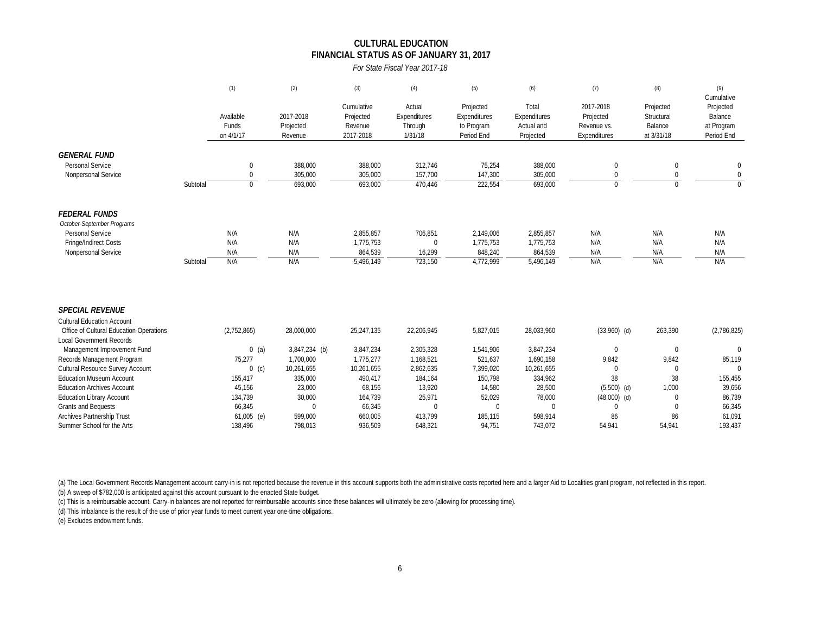#### **CULTURAL EDUCATION FINANCIAL STATUS AS OF JANUARY 31, 2017**

*For State Fiscal Year 2017-18*

|                                         |          | (1)                             | (2)                               | (3)                                             | (4)                                          | (5)                                                   | (6)                                              | (7)                                                   | (8)                                              | (9)<br>Cumulative                                |
|-----------------------------------------|----------|---------------------------------|-----------------------------------|-------------------------------------------------|----------------------------------------------|-------------------------------------------------------|--------------------------------------------------|-------------------------------------------------------|--------------------------------------------------|--------------------------------------------------|
|                                         |          | Available<br>Funds<br>on 4/1/17 | 2017-2018<br>Projected<br>Revenue | Cumulative<br>Projected<br>Revenue<br>2017-2018 | Actual<br>Expenditures<br>Through<br>1/31/18 | Projected<br>Expenditures<br>to Program<br>Period End | Total<br>Expenditures<br>Actual and<br>Projected | 2017-2018<br>Projected<br>Revenue vs.<br>Expenditures | Projected<br>Structural<br>Balance<br>at 3/31/18 | Projected<br>Balance<br>at Program<br>Period End |
| <b>GENERAL FUND</b>                     |          |                                 |                                   |                                                 |                                              |                                                       |                                                  |                                                       |                                                  |                                                  |
| Personal Service                        |          | $\boldsymbol{0}$                | 388,000                           | 388,000                                         | 312,746                                      | 75,254                                                | 388,000                                          | $\Omega$                                              | $\boldsymbol{0}$                                 | $\bf{0}$                                         |
| Nonpersonal Service                     |          | $\mathbf{0}$                    | 305,000                           | 305,000                                         | 157,700                                      | 147,300                                               | 305,000                                          | $\Omega$                                              | $\mathbf{0}$                                     | $\mathbf 0$                                      |
|                                         | Subtotal | $\mathbf{0}$                    | 693,000                           | 693,000                                         | 470,446                                      | 222,554                                               | 693,000                                          | $\Omega$                                              | $\Omega$                                         | $\Omega$                                         |
| <b>FEDERAL FUNDS</b>                    |          |                                 |                                   |                                                 |                                              |                                                       |                                                  |                                                       |                                                  |                                                  |
| October-September Programs              |          |                                 |                                   |                                                 |                                              |                                                       |                                                  |                                                       |                                                  |                                                  |
| Personal Service                        |          | N/A                             | N/A                               | 2,855,857                                       | 706,851                                      | 2,149,006                                             | 2,855,857                                        | N/A                                                   | N/A                                              | N/A                                              |
| Fringe/Indirect Costs                   |          | N/A                             | N/A                               | 1,775,753                                       | $\mathbf 0$                                  | 1,775,753                                             | 1,775,753                                        | N/A                                                   | N/A                                              | N/A                                              |
| Nonpersonal Service                     |          | N/A                             | N/A                               | 864,539                                         | 16,299                                       | 848,240                                               | 864,539                                          | N/A                                                   | N/A                                              | N/A                                              |
|                                         | Subtotal | N/A                             | N/A                               | 5,496,149                                       | 723,150                                      | 4,772,999                                             | 5,496,149                                        | N/A                                                   | N/A                                              | N/A                                              |
| <b>SPECIAL REVENUE</b>                  |          |                                 |                                   |                                                 |                                              |                                                       |                                                  |                                                       |                                                  |                                                  |
| <b>Cultural Education Account</b>       |          |                                 |                                   |                                                 |                                              |                                                       |                                                  |                                                       |                                                  |                                                  |
| Office of Cultural Education-Operations |          | (2,752,865)                     | 28,000,000                        | 25,247,135                                      | 22,206,945                                   | 5,827,015                                             | 28,033,960                                       | $(33,960)$ (d)                                        | 263,390                                          | (2,786,825)                                      |
| <b>Local Government Records</b>         |          |                                 |                                   |                                                 |                                              |                                                       |                                                  |                                                       |                                                  |                                                  |
| Management Improvement Fund             |          | $0$ (a)                         | 3,847,234 (b)                     | 3,847,234                                       | 2,305,328                                    | 1,541,906                                             | 3,847,234                                        | $\mathbf 0$                                           | $\mathbf 0$                                      | $\mathbf{0}$                                     |
| Records Management Program              |          | 75,277                          | 1.700.000                         | 1,775,277                                       | 1,168,521                                    | 521,637                                               | 1,690,158                                        | 9,842                                                 | 9,842                                            | 85,119                                           |
| Cultural Resource Survey Account        |          | $0$ (c)                         | 10,261,655                        | 10,261,655                                      | 2,862,635                                    | 7,399,020                                             | 10,261,655                                       | $\mathbf{0}$                                          | $\mathbf{0}$                                     | $\Omega$                                         |
| <b>Fducation Museum Account</b>         |          | 155,417                         | 335,000                           | 490,417                                         | 184,164                                      | 150,798                                               | 334,962                                          | 38                                                    | 38                                               | 155,455                                          |
| <b>Education Archives Account</b>       |          | 45,156                          | 23,000                            | 68,156                                          | 13,920                                       | 14,580                                                | 28,500                                           | $(5,500)$ (d)                                         | 1,000                                            | 39,656                                           |
| <b>Education Library Account</b>        |          | 134,739                         | 30,000                            | 164,739                                         | 25,971                                       | 52,029                                                | 78,000                                           | $(48,000)$ (d)                                        | $\Omega$                                         | 86,739                                           |
| <b>Grants and Bequests</b>              |          | 66,345                          | $\Omega$                          | 66,345                                          | $\theta$                                     | $\Omega$                                              | 0                                                | $\Omega$                                              | $\Omega$                                         | 66,345                                           |
| Archives Partnership Trust              |          | $61,005$ (e)                    | 599,000                           | 660,005                                         | 413.799                                      | 185,115                                               | 598,914                                          | 86                                                    | 86                                               | 61,091                                           |

(a) The Local Government Records Management account carry-in is not reported because the revenue in this account supports both the administrative costs reported here and a larger Aid to Localities grant program, not reflec

(b) A sweep of \$782,000 is anticipated against this account pursuant to the enacted State budget.

(c) This is a reimbursable account. Carry-in balances are not reported for reimbursable accounts since these balances will ultimately be zero (allowing for processing time).

(d) This imbalance is the result of the use of prior year funds to meet current year one-time obligations.

(e) Excludes endowment funds.

Summer School for the Arts 138,496 138,496 798,013 936,509 648,321 94,751 743,072 54,941 54,941 54,941 193,437